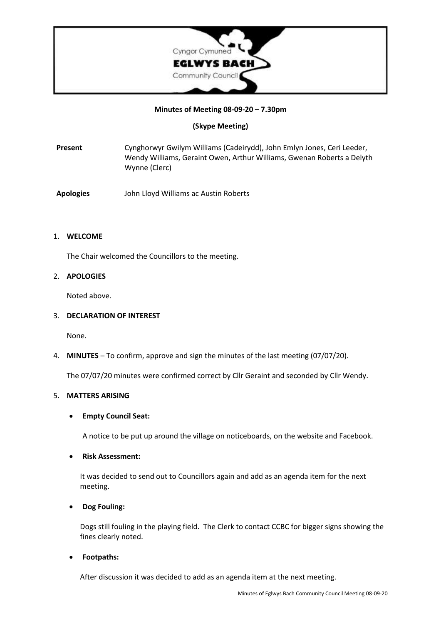

### **Minutes of Meeting 08-09-20 – 7.30pm**

## **(Skype Meeting)**

- **Present** Cynghorwyr Gwilym Williams (Cadeirydd), John Emlyn Jones, Ceri Leeder, Wendy Williams, Geraint Owen, Arthur Williams, Gwenan Roberts a Delyth Wynne (Clerc)
- **Apologies** John Lloyd Williams ac Austin Roberts

### 1. **WELCOME**

The Chair welcomed the Councillors to the meeting.

## 2. **APOLOGIES**

Noted above.

### 3. **DECLARATION OF INTEREST**

None.

4. **MINUTES** – To confirm, approve and sign the minutes of the last meeting (07/07/20).

The 07/07/20 minutes were confirmed correct by Cllr Geraint and seconded by Cllr Wendy.

### 5. **MATTERS ARISING**

### • **Empty Council Seat:**

A notice to be put up around the village on noticeboards, on the website and Facebook.

### • **Risk Assessment:**

It was decided to send out to Councillors again and add as an agenda item for the next meeting.

# • **Dog Fouling:**

Dogs still fouling in the playing field. The Clerk to contact CCBC for bigger signs showing the fines clearly noted.

• **Footpaths:**

After discussion it was decided to add as an agenda item at the next meeting.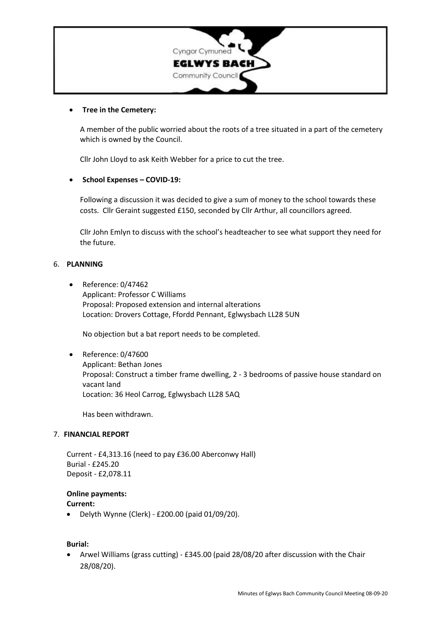

#### • **Tree in the Cemetery:**

A member of the public worried about the roots of a tree situated in a part of the cemetery which is owned by the Council.

Cllr John Lloyd to ask Keith Webber for a price to cut the tree.

### • **School Expenses – COVID-19:**

Following a discussion it was decided to give a sum of money to the school towards these costs. Cllr Geraint suggested £150, seconded by Cllr Arthur, all councillors agreed.

Cllr John Emlyn to discuss with the school's headteacher to see what support they need for the future.

### 6. **PLANNING**

• Reference: 0/47462 Applicant: Professor C Williams Proposal: Proposed extension and internal alterations Location: Drovers Cottage, Ffordd Pennant, Eglwysbach LL28 5UN

No objection but a bat report needs to be completed.

• Reference: 0/47600 Applicant: Bethan Jones Proposal: Construct a timber frame dwelling, 2 - 3 bedrooms of passive house standard on vacant land Location: 36 Heol Carrog, Eglwysbach LL28 5AQ

Has been withdrawn.

## 7. **FINANCIAL REPORT**

Current - £4,313.16 (need to pay £36.00 Aberconwy Hall) Burial - £245.20 Deposit - £2,078.11

#### **Online payments:**

**Current:**

• Delyth Wynne (Clerk) - £200.00 (paid 01/09/20).

**Burial:**

• Arwel Williams (grass cutting) - £345.00 (paid 28/08/20 after discussion with the Chair 28/08/20).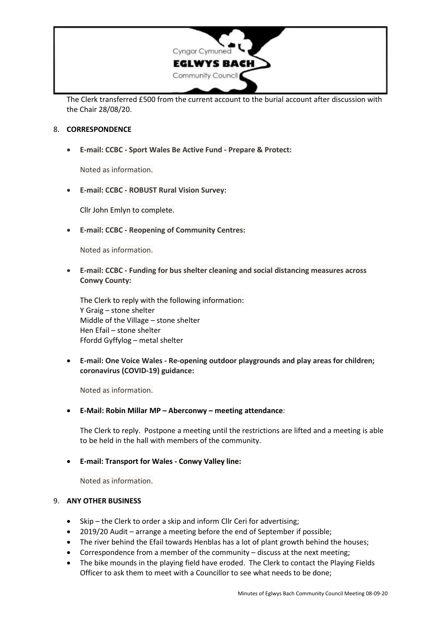

The Clerk transferred £500 from the current account to the burial account after discussion with the Chair 28/08/20.

### 8. **CORRESPONDENCE**

• **E-mail: CCBC - Sport Wales Be Active Fund - Prepare & Protect:**

Noted as information.

• **E-mail: CCBC - ROBUST Rural Vision Survey:**

Cllr John Emlyn to complete.

• **E-mail: CCBC - Reopening of Community Centres:**

Noted as information.

• **E-mail: CCBC - Funding for bus shelter cleaning and social distancing measures across Conwy County:**

The Clerk to reply with the following information: Y Graig – stone shelter Middle of the Village – stone shelter Hen Efail – stone shelter Ffordd Gyffylog – metal shelter

• **E-mail: One Voice Wales - Re-opening outdoor playgrounds and play areas for children; coronavirus (COVID-19) guidance:**

Noted as information.

• **E-Mail: Robin Millar MP – Aberconwy – meeting attendance**:

The Clerk to reply. Postpone a meeting until the restrictions are lifted and a meeting is able to be held in the hall with members of the community.

### • **E-mail: Transport for Wales - Conwy Valley line:**

Noted as information.

### 9. **ANY OTHER BUSINESS**

- Skip the Clerk to order a skip and inform Cllr Ceri for advertising;
- 2019/20 Audit arrange a meeting before the end of September if possible;
- The river behind the Efail towards Henblas has a lot of plant growth behind the houses;
- Correspondence from a member of the community discuss at the next meeting;
- The bike mounds in the playing field have eroded. The Clerk to contact the Playing Fields Officer to ask them to meet with a Councillor to see what needs to be done;